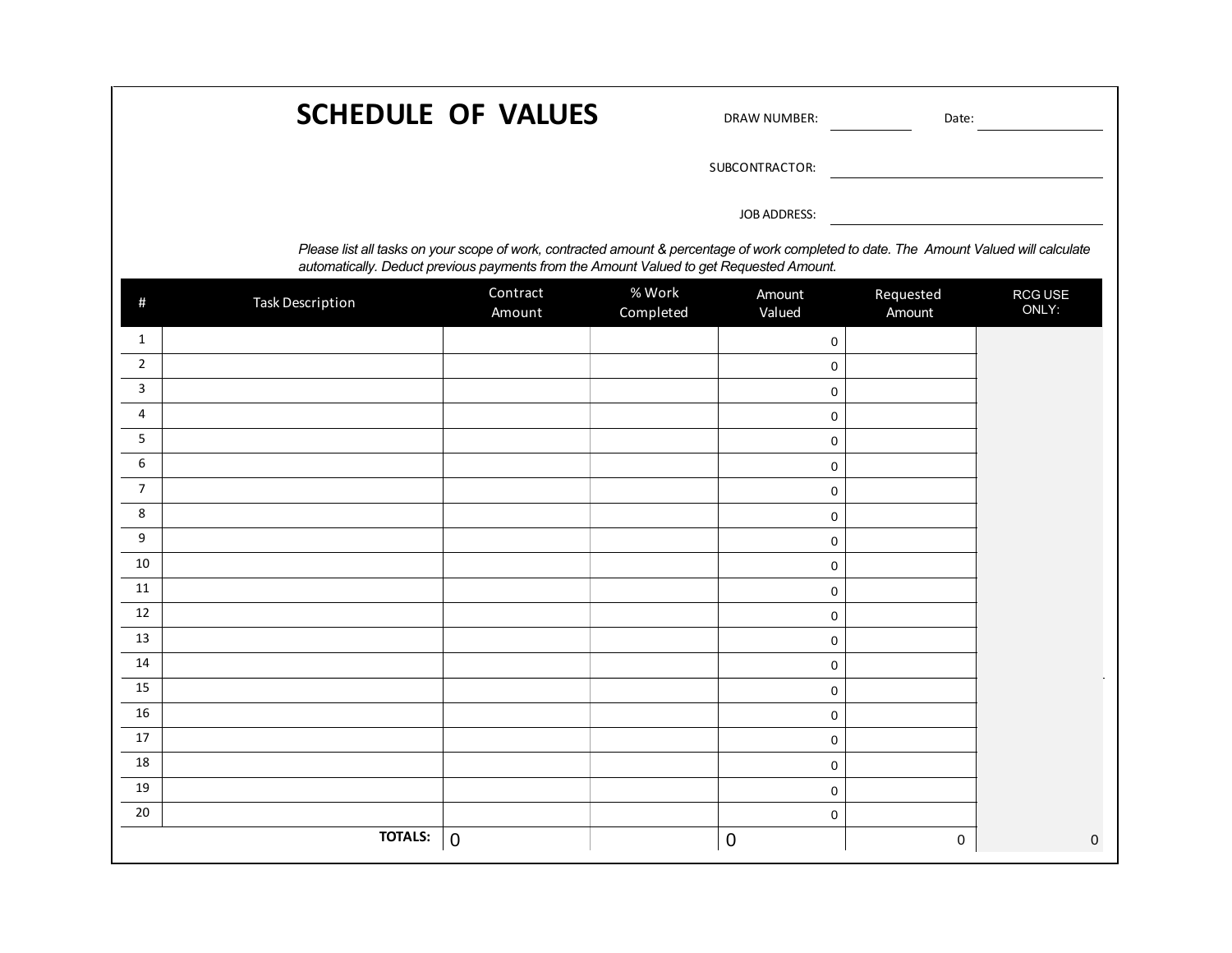|                                                                                                                                                                                                                                    | Date:               | <b>DRAW NUMBER:</b> | <b>SCHEDULE OF VALUES</b> |                    |                         |                |  |  |  |
|------------------------------------------------------------------------------------------------------------------------------------------------------------------------------------------------------------------------------------|---------------------|---------------------|---------------------------|--------------------|-------------------------|----------------|--|--|--|
|                                                                                                                                                                                                                                    |                     | SUBCONTRACTOR:      |                           |                    |                         |                |  |  |  |
|                                                                                                                                                                                                                                    |                     | JOB ADDRESS:        |                           |                    |                         |                |  |  |  |
| Please list all tasks on your scope of work, contracted amount & percentage of work completed to date. The Amount Valued will calculate<br>automatically. Deduct previous payments from the Amount Valued to get Requested Amount. |                     |                     |                           |                    |                         |                |  |  |  |
| RCG USE<br>ONLY:                                                                                                                                                                                                                   | Requested<br>Amount | Amount<br>Valued    | % Work<br>Completed       | Contract<br>Amount | <b>Task Description</b> | #              |  |  |  |
|                                                                                                                                                                                                                                    |                     | Ю                   |                           |                    |                         | 1              |  |  |  |
|                                                                                                                                                                                                                                    |                     | n                   |                           |                    |                         | $\overline{2}$ |  |  |  |
|                                                                                                                                                                                                                                    |                     | Ю                   |                           |                    |                         | 3              |  |  |  |
|                                                                                                                                                                                                                                    |                     | n                   |                           |                    |                         | 4              |  |  |  |
|                                                                                                                                                                                                                                    |                     | O.                  |                           |                    |                         | 5              |  |  |  |
|                                                                                                                                                                                                                                    |                     | Ю                   |                           |                    |                         | 6              |  |  |  |
|                                                                                                                                                                                                                                    |                     | O.                  |                           |                    |                         | $\overline{7}$ |  |  |  |
|                                                                                                                                                                                                                                    |                     | O.                  |                           |                    |                         | 8              |  |  |  |
|                                                                                                                                                                                                                                    |                     | n                   |                           |                    |                         | 9              |  |  |  |
|                                                                                                                                                                                                                                    |                     | n                   |                           |                    |                         | 10             |  |  |  |
|                                                                                                                                                                                                                                    |                     | n                   |                           |                    |                         | 11             |  |  |  |
|                                                                                                                                                                                                                                    |                     | Ю                   |                           |                    |                         | 12<br>13       |  |  |  |
|                                                                                                                                                                                                                                    |                     | l0<br>O.            |                           |                    |                         | 14             |  |  |  |
|                                                                                                                                                                                                                                    |                     | O.                  |                           |                    |                         | 15             |  |  |  |
|                                                                                                                                                                                                                                    |                     | l0                  |                           |                    |                         | 16             |  |  |  |
|                                                                                                                                                                                                                                    |                     | n                   |                           |                    |                         | 17             |  |  |  |
|                                                                                                                                                                                                                                    |                     | n                   |                           |                    |                         | 18             |  |  |  |
|                                                                                                                                                                                                                                    |                     | Ю                   |                           |                    |                         | 19             |  |  |  |
|                                                                                                                                                                                                                                    |                     | Ю                   |                           |                    |                         | 20             |  |  |  |
| $\mathbf{0}$                                                                                                                                                                                                                       | 0                   | $\mathbf 0$         |                           | $\boldsymbol{0}$   | <b>TOTALS:</b>          |                |  |  |  |

r